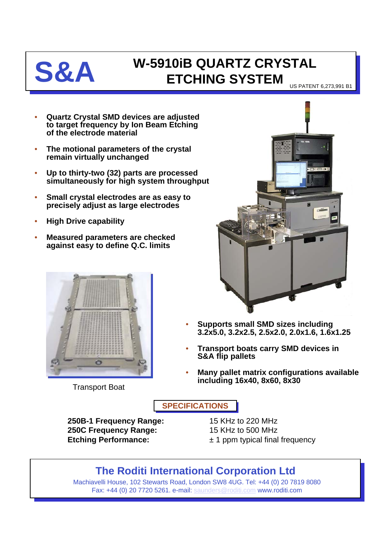

## **S&A W-5910iB QUARTZ CRYSTAL ETCHING SYSTEM**

US PATENT 6,273,991 B1

- **Quartz Crystal SMD devices are adjusted to target frequency by Ion Beam Etching of the electrode material**
- **The motional parameters of the crystal remain virtually unchanged**
- **Up to thirty-two (32) parts are processed simultaneously for high system throughput**
- **Small crystal electrodes are as easy to precisely adjust as large electrodes**
- **High Drive capability**
- **Measured parameters are checked against easy to define Q.C. limits**



Transport Boat



- **Supports small SMD sizes including 3.2x5.0, 3.2x2.5, 2.5x2.0, 2.0x1.6, 1.6x1.25**
- **Transport boats carry SMD devices in S&A flip pallets**
- **Many pallet matrix configurations available including 16x40, 8x60, 8x30**

**SPECIFICATIONS**

**250B-1 Frequency Range:** 15 KHz to 220 MHz **250C Frequency Range:** 15 KHz to 500 MHz **Etching Performance:**  $\pm 1$  ppm typical final frequency

## **The Roditi International Corporation Ltd**

Machiavelli House, 102 Stewarts Road, London SW8 4UG. Tel: +44 (0) 20 7819 8080 Fax: +44 (0) 20 7720 5261. e-mail: [saunders@roditi.com](mailto:saunders@roditi.com) www.roditi.com